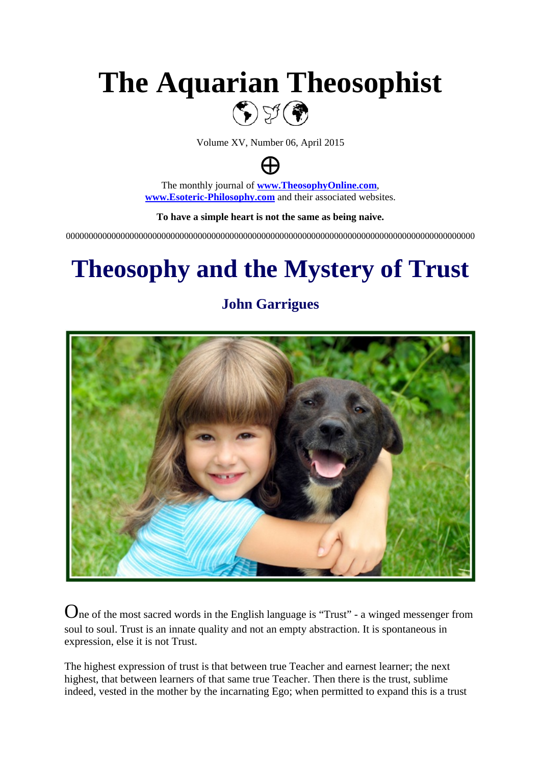# **The Aquarian Theosophist**  $\left(\begin{smallmatrix}\bullet\\ \bullet\end{smallmatrix}\right)$  y (

Volume XV, Number 06, April 2015

⊕

The monthly journal of **[www.TheosophyOnline.com](http://www.theosophyonline.com/)**, **[www.Esoteric-Philosophy.com](http://www.esoteric-philosophy.com/)** and their associated websites.

**To have a simple heart is not the same as being naive.**

000000000000000000000000000000000000000000000000000000000000000000000000000000000000000000

# **Theosophy and the Mystery of Trust**



**John Garrigues**

One of the most sacred words in the English language is "Trust" - a winged messenger from soul to soul. Trust is an innate quality and not an empty abstraction. It is spontaneous in expression, else it is not Trust.

The highest expression of trust is that between true Teacher and earnest learner; the next highest, that between learners of that same true Teacher. Then there is the trust, sublime indeed, vested in the mother by the incarnating Ego; when permitted to expand this is a trust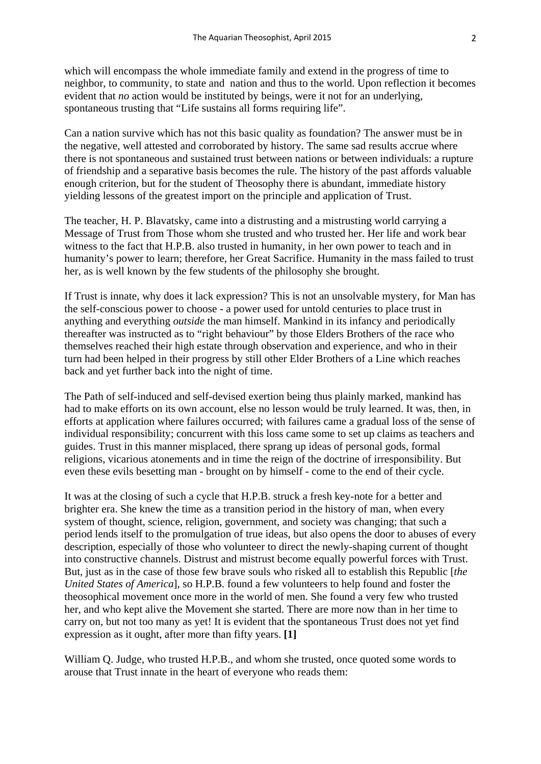which will encompass the whole immediate family and extend in the progress of time to neighbor, to community, to state and nation and thus to the world. Upon reflection it becomes evident that *no* action would be instituted by beings, were it not for an underlying, spontaneous trusting that "Life sustains all forms requiring life".

Can a nation survive which has not this basic quality as foundation? The answer must be in the negative, well attested and corroborated by history. The same sad results accrue where there is not spontaneous and sustained trust between nations or between individuals: a rupture of friendship and a separative basis becomes the rule. The history of the past affords valuable enough criterion, but for the student of Theosophy there is abundant, immediate history yielding lessons of the greatest import on the principle and application of Trust.

The teacher, H. P. Blavatsky, came into a distrusting and a mistrusting world carrying a Message of Trust from Those whom she trusted and who trusted her. Her life and work bear witness to the fact that H.P.B. also trusted in humanity, in her own power to teach and in humanity's power to learn; therefore, her Great Sacrifice. Humanity in the mass failed to trust her, as is well known by the few students of the philosophy she brought.

If Trust is innate, why does it lack expression? This is not an unsolvable mystery, for Man has the self-conscious power to choose - a power used for untold centuries to place trust in anything and everything *outside* the man himself. Mankind in its infancy and periodically thereafter was instructed as to "right behaviour" by those Elders Brothers of the race who themselves reached their high estate through observation and experience, and who in their turn had been helped in their progress by still other Elder Brothers of a Line which reaches back and yet further back into the night of time.

The Path of self-induced and self-devised exertion being thus plainly marked, mankind has had to make efforts on its own account, else no lesson would be truly learned. It was, then, in efforts at application where failures occurred; with failures came a gradual loss of the sense of individual responsibility; concurrent with this loss came some to set up claims as teachers and guides. Trust in this manner misplaced, there sprang up ideas of personal gods, formal religions, vicarious atonements and in time the reign of the doctrine of irresponsibility. But even these evils besetting man - brought on by himself - come to the end of their cycle.

It was at the closing of such a cycle that H.P.B. struck a fresh key-note for a better and brighter era. She knew the time as a transition period in the history of man, when every system of thought, science, religion, government, and society was changing; that such a period lends itself to the promulgation of true ideas, but also opens the door to abuses of every description, especially of those who volunteer to direct the newly-shaping current of thought into constructive channels. Distrust and mistrust become equally powerful forces with Trust. But, just as in the case of those few brave souls who risked all to establish this Republic [*the United States of America*], so H.P.B. found a few volunteers to help found and foster the theosophical movement once more in the world of men. She found a very few who trusted her, and who kept alive the Movement she started. There are more now than in her time to carry on, but not too many as yet! It is evident that the spontaneous Trust does not yet find expression as it ought, after more than fifty years. **[1]**

William Q. Judge, who trusted H.P.B., and whom she trusted, once quoted some words to arouse that Trust innate in the heart of everyone who reads them: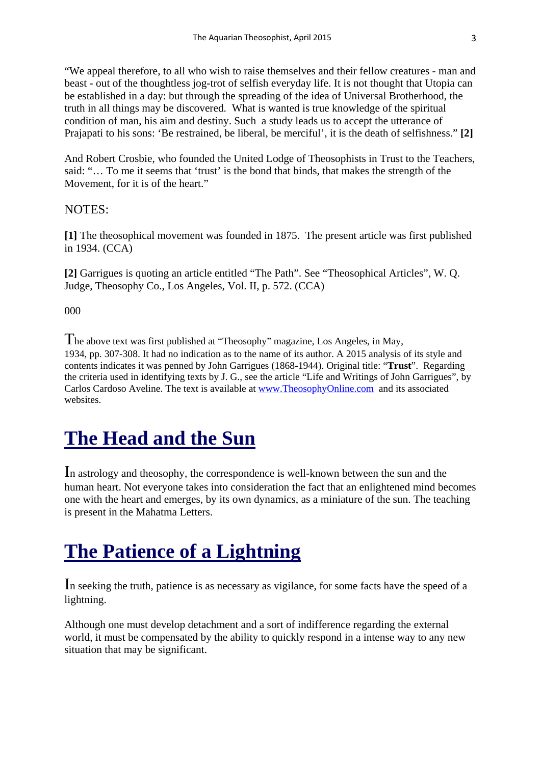"We appeal therefore, to all who wish to raise themselves and their fellow creatures - man and beast - out of the thoughtless jog-trot of selfish everyday life. It is not thought that Utopia can be established in a day: but through the spreading of the idea of Universal Brotherhood, the truth in all things may be discovered. What is wanted is true knowledge of the spiritual condition of man, his aim and destiny. Such a study leads us to accept the utterance of Prajapati to his sons: 'Be restrained, be liberal, be merciful', it is the death of selfishness." **[2]**

And Robert Crosbie, who founded the United Lodge of Theosophists in Trust to the Teachers, said: "… To me it seems that 'trust' is the bond that binds, that makes the strength of the Movement, for it is of the heart."

#### NOTES:

**[1]** The theosophical movement was founded in 1875. The present article was first published in 1934. (CCA)

**[2]** Garrigues is quoting an article entitled "The Path". See "Theosophical Articles", W. Q. Judge, Theosophy Co., Los Angeles, Vol. II, p. 572. (CCA)

000

The above text was first published at "Theosophy" magazine, Los Angeles, in May, 1934, pp. 307-308. It had no indication as to the name of its author. A 2015 analysis of its style and contents indicates it was penned by John Garrigues (1868-1944). Original title: "**Trust**". Regarding the criteria used in identifying texts by J. G., see the article "Life and Writings of John Garrigues", by Carlos Cardoso Aveline. The text is available at [www.TheosophyOnline.com](http://www.theosophyonline.com/) and its associated websites.

### **The Head and the Sun**

In astrology and theosophy, the correspondence is well-known between the sun and the human heart. Not everyone takes into consideration the fact that an enlightened mind becomes one with the heart and emerges, by its own dynamics, as a miniature of the sun. The teaching is present in the Mahatma Letters.

### **The Patience of a Lightning**

In seeking the truth, patience is as necessary as vigilance, for some facts have the speed of a lightning.

Although one must develop detachment and a sort of indifference regarding the external world, it must be compensated by the ability to quickly respond in a intense way to any new situation that may be significant.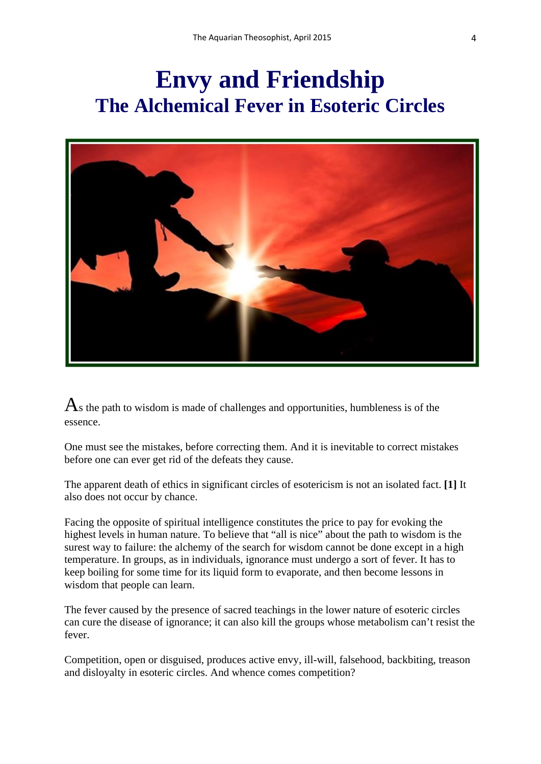## **Envy and Friendship The Alchemical Fever in Esoteric Circles**



 $\mathbf{A}_s$  the path to wisdom is made of challenges and opportunities, humbleness is of the essence.

One must see the mistakes, before correcting them. And it is inevitable to correct mistakes before one can ever get rid of the defeats they cause.

The apparent death of ethics in significant circles of esotericism is not an isolated fact. **[1]** It also does not occur by chance.

Facing the opposite of spiritual intelligence constitutes the price to pay for evoking the highest levels in human nature. To believe that "all is nice" about the path to wisdom is the surest way to failure: the alchemy of the search for wisdom cannot be done except in a high temperature. In groups, as in individuals, ignorance must undergo a sort of fever. It has to keep boiling for some time for its liquid form to evaporate, and then become lessons in wisdom that people can learn.

The fever caused by the presence of sacred teachings in the lower nature of esoteric circles can cure the disease of ignorance; it can also kill the groups whose metabolism can't resist the fever.

Competition, open or disguised, produces active envy, ill-will, falsehood, backbiting, treason and disloyalty in esoteric circles. And whence comes competition?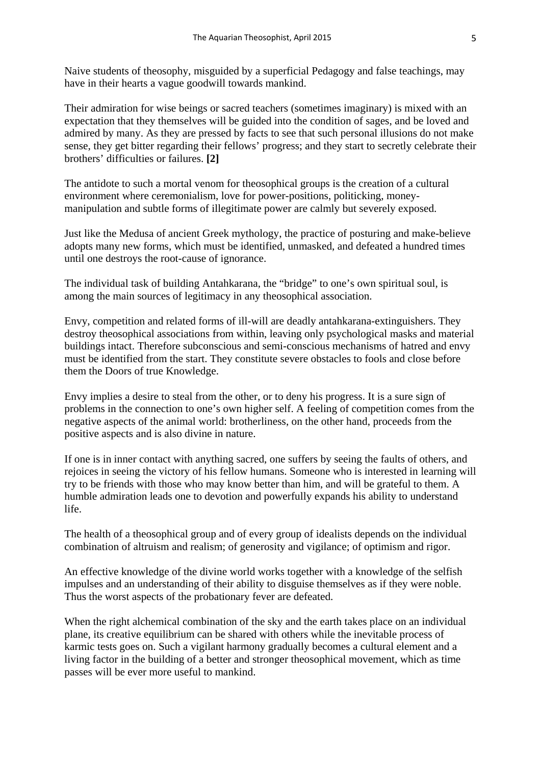Naive students of theosophy, misguided by a superficial Pedagogy and false teachings, may have in their hearts a vague goodwill towards mankind.

Their admiration for wise beings or sacred teachers (sometimes imaginary) is mixed with an expectation that they themselves will be guided into the condition of sages, and be loved and admired by many. As they are pressed by facts to see that such personal illusions do not make sense, they get bitter regarding their fellows' progress; and they start to secretly celebrate their brothers' difficulties or failures. **[2]**

The antidote to such a mortal venom for theosophical groups is the creation of a cultural environment where ceremonialism, love for power-positions, politicking, moneymanipulation and subtle forms of illegitimate power are calmly but severely exposed.

Just like the Medusa of ancient Greek mythology, the practice of posturing and make-believe adopts many new forms, which must be identified, unmasked, and defeated a hundred times until one destroys the root-cause of ignorance.

The individual task of building Antahkarana, the "bridge" to one's own spiritual soul, is among the main sources of legitimacy in any theosophical association.

Envy, competition and related forms of ill-will are deadly antahkarana-extinguishers. They destroy theosophical associations from within, leaving only psychological masks and material buildings intact. Therefore subconscious and semi-conscious mechanisms of hatred and envy must be identified from the start. They constitute severe obstacles to fools and close before them the Doors of true Knowledge.

Envy implies a desire to steal from the other, or to deny his progress. It is a sure sign of problems in the connection to one's own higher self. A feeling of competition comes from the negative aspects of the animal world: brotherliness, on the other hand, proceeds from the positive aspects and is also divine in nature.

If one is in inner contact with anything sacred, one suffers by seeing the faults of others, and rejoices in seeing the victory of his fellow humans. Someone who is interested in learning will try to be friends with those who may know better than him, and will be grateful to them. A humble admiration leads one to devotion and powerfully expands his ability to understand life.

The health of a theosophical group and of every group of idealists depends on the individual combination of altruism and realism; of generosity and vigilance; of optimism and rigor.

An effective knowledge of the divine world works together with a knowledge of the selfish impulses and an understanding of their ability to disguise themselves as if they were noble. Thus the worst aspects of the probationary fever are defeated.

When the right alchemical combination of the sky and the earth takes place on an individual plane, its creative equilibrium can be shared with others while the inevitable process of karmic tests goes on. Such a vigilant harmony gradually becomes a cultural element and a living factor in the building of a better and stronger theosophical movement, which as time passes will be ever more useful to mankind.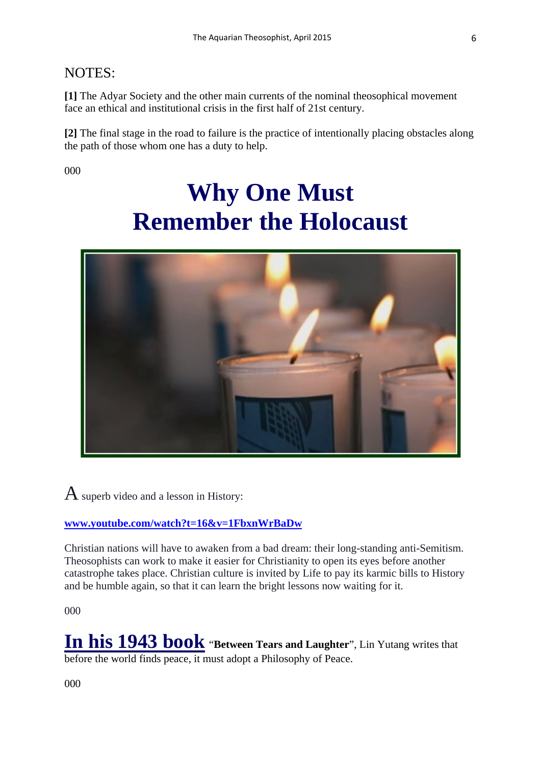### NOTES:

**[1]** The Adyar Society and the other main currents of the nominal theosophical movement face an ethical and institutional crisis in the first half of 21st century.

**[2]** The final stage in the road to failure is the practice of intentionally placing obstacles along the path of those whom one has a duty to help.

000

# **Why One Must Remember the Holocaust**



 $\bf{A}$  superb video and a lesson in History:

#### **[www.youtube.com/watch?t=16&v=1FbxnWrBaDw](http://www.youtube.com/watch?t=16&v=1FbxnWrBaDw)**

Christian nations will have to awaken from a bad dream: their long-standing anti-Semitism. Theosophists can work to make it easier for Christianity to open its eyes before another catastrophe takes place. Christian culture is invited by Life to pay its karmic bills to History and be humble again, so that it can learn the bright lessons now waiting for it.

000

**In his 1943 book** "**Between Tears and Laughter**", Lin Yutang writes that before the world finds peace, it must adopt a Philosophy of Peace.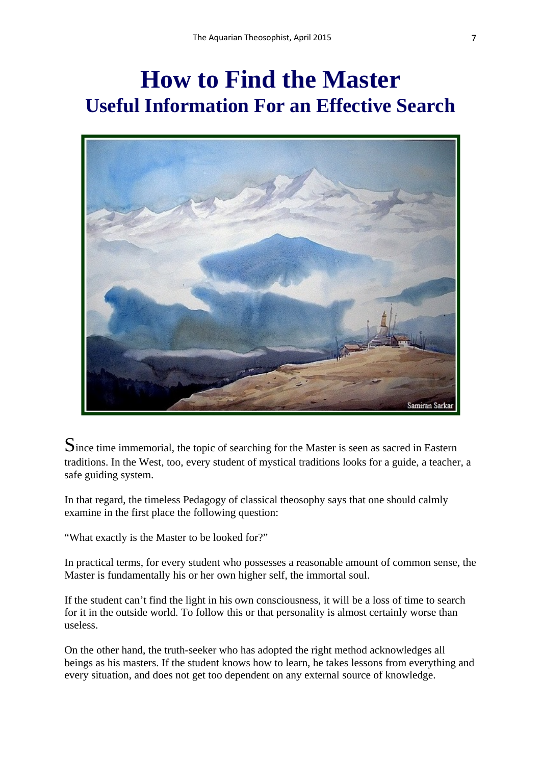## **How to Find the Master Useful Information For an Effective Search**



Since time immemorial, the topic of searching for the Master is seen as sacred in Eastern traditions. In the West, too, every student of mystical traditions looks for a guide, a teacher, a safe guiding system.

In that regard, the timeless Pedagogy of classical theosophy says that one should calmly examine in the first place the following question:

"What exactly is the Master to be looked for?"

In practical terms, for every student who possesses a reasonable amount of common sense, the Master is fundamentally his or her own higher self, the immortal soul.

If the student can't find the light in his own consciousness, it will be a loss of time to search for it in the outside world. To follow this or that personality is almost certainly worse than useless.

On the other hand, the truth-seeker who has adopted the right method acknowledges all beings as his masters. If the student knows how to learn, he takes lessons from everything and every situation, and does not get too dependent on any external source of knowledge.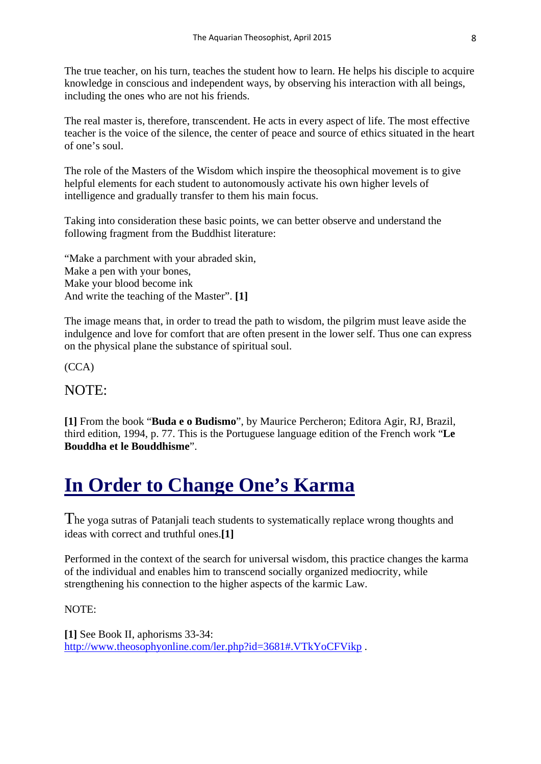The true teacher, on his turn, teaches the student how to learn. He helps his disciple to acquire knowledge in conscious and independent ways, by observing his interaction with all beings, including the ones who are not his friends.

The real master is, therefore, transcendent. He acts in every aspect of life. The most effective teacher is the voice of the silence, the center of peace and source of ethics situated in the heart of one's soul.

The role of the Masters of the Wisdom which inspire the theosophical movement is to give helpful elements for each student to autonomously activate his own higher levels of intelligence and gradually transfer to them his main focus.

Taking into consideration these basic points, we can better observe and understand the following fragment from the Buddhist literature:

"Make a parchment with your abraded skin, Make a pen with your bones, Make your blood become ink And write the teaching of the Master". **[1]**

The image means that, in order to tread the path to wisdom, the pilgrim must leave aside the indulgence and love for comfort that are often present in the lower self. Thus one can express on the physical plane the substance of spiritual soul.

(CCA)

#### NOTE:

**[1]** From the book "**Buda e o Budismo**", by Maurice Percheron; Editora Agir, RJ, Brazil, third edition, 1994, p. 77. This is the Portuguese language edition of the French work "**Le Bouddha et le Bouddhisme**".

### **In Order to Change One's Karma**

The yoga sutras of Patanjali teach students to systematically replace wrong thoughts and ideas with correct and truthful ones.**[1]**

Performed in the context of the search for universal wisdom, this practice changes the karma of the individual and enables him to transcend socially organized mediocrity, while strengthening his connection to the higher aspects of the karmic Law.

NOTE:

**[1]** See Book II, aphorisms 33-34: <http://www.theosophyonline.com/ler.php?id=3681#.VTkYoCFVikp> .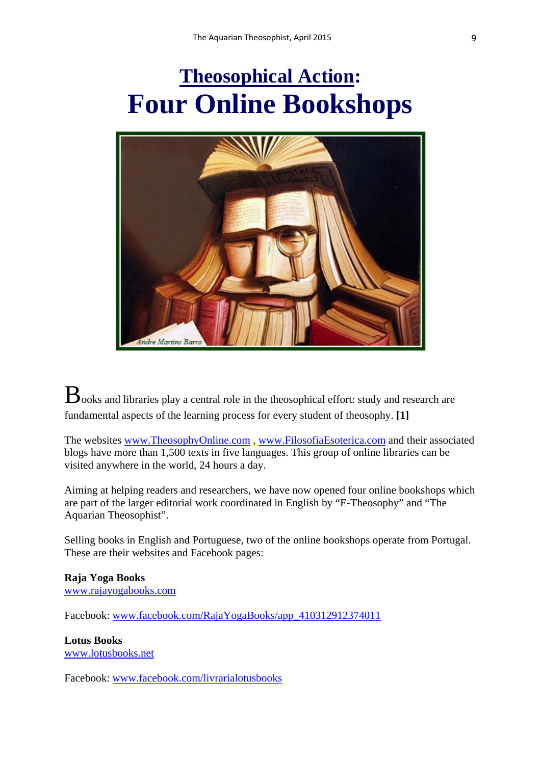## **Theosophical Action: Four Online Bookshops**



 $B_{\text{ooks}}$  and libraries play a central role in the theosophical effort: study and research are fundamental aspects of the learning process for every student of theosophy. **[1]**

The websites [www.TheosophyOnline.com](http://www.theosophyonline.com/) , [www.FilosofiaEsoterica.com](http://www.filosofiaesoterica.com/) and their associated blogs have more than 1,500 texts in five languages. This group of online libraries can be visited anywhere in the world, 24 hours a day.

Aiming at helping readers and researchers, we have now opened four online bookshops which are part of the larger editorial work coordinated in English by "E-Theosophy" and "The Aquarian Theosophist".

Selling books in English and Portuguese, two of the online bookshops operate from Portugal. These are their websites and Facebook pages:

#### **Raja Yoga Books**

[www.rajayogabooks.com](http://www.rajayogabooks.com/)

Facebook: [www.facebook.com/RajaYogaBooks/app\\_410312912374011](https://www.facebook.com/RajaYogaBooks/app_410312912374011)

### **Lotus Books**

[www.lotusbooks.net](http://www.lotusbooks.net/)

Facebook: [www.facebook.com/livrarialotusbooks](http://www.facebook.com/livrarialotusbooks)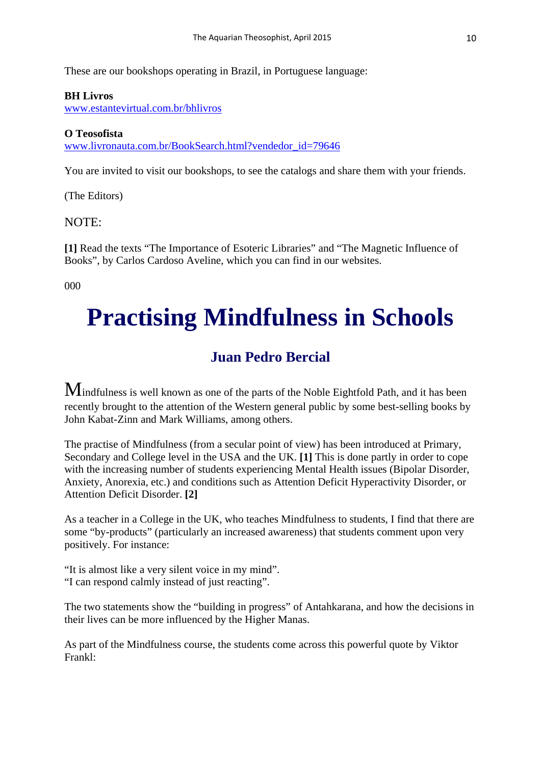These are our bookshops operating in Brazil, in Portuguese language:

#### **BH Livros**

[www.estantevirtual.com.br/bhlivros](http://www.estantevirtual.com.br/bhlivros)

#### **O Teosofista**

[www.livronauta.com.br/BookSearch.html?vendedor\\_id=79646](http://www.livronauta.com.br/BookSearch.html?vendedor_id=79646)

You are invited to visit our bookshops, to see the catalogs and share them with your friends.

(The Editors)

#### NOTE:

**[1]** Read the texts "The Importance of Esoteric Libraries" and "The Magnetic Influence of Books", by Carlos Cardoso Aveline, which you can find in our websites.

000

# **Practising Mindfulness in Schools**

### **Juan Pedro Bercial**

Mindfulness is well known as one of the parts of the Noble Eightfold Path, and it has been recently brought to the attention of the Western general public by some best-selling books by John Kabat-Zinn and Mark Williams, among others.

The practise of Mindfulness (from a secular point of view) has been introduced at Primary, Secondary and College level in the USA and the UK. **[1]** This is done partly in order to cope with the increasing number of students experiencing Mental Health issues (Bipolar Disorder, Anxiety, Anorexia, etc.) and conditions such as Attention Deficit Hyperactivity Disorder, or Attention Deficit Disorder. **[2]**

As a teacher in a College in the UK, who teaches Mindfulness to students, I find that there are some "by-products" (particularly an increased awareness) that students comment upon very positively. For instance:

"It is almost like a very silent voice in my mind". "I can respond calmly instead of just reacting".

The two statements show the "building in progress" of Antahkarana, and how the decisions in their lives can be more influenced by the Higher Manas.

As part of the Mindfulness course, the students come across this powerful quote by Viktor Frankl: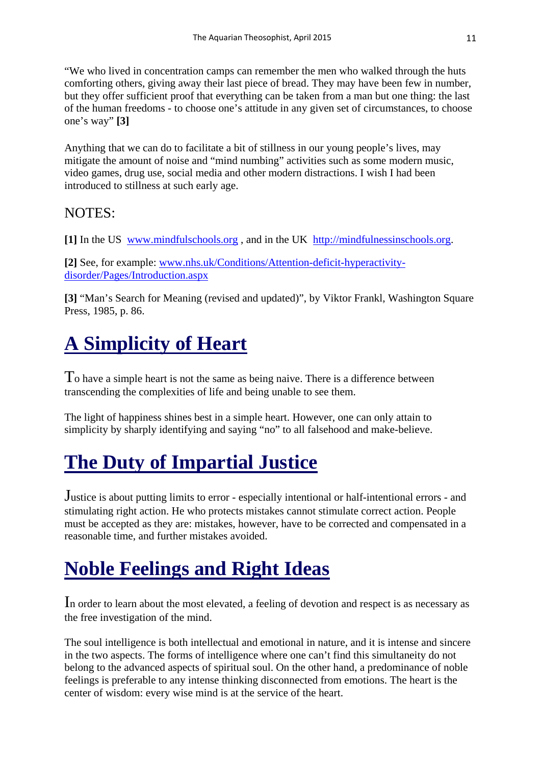"We who lived in concentration camps can remember the men who walked through the huts comforting others, giving away their last piece of bread. They may have been few in number, but they offer sufficient proof that everything can be taken from a man but one thing: the last of the human freedoms - to choose one's attitude in any given set of circumstances, to choose one's way" **[3]**

Anything that we can do to facilitate a bit of stillness in our young people's lives, may mitigate the amount of noise and "mind numbing" activities such as some modern music, video games, drug use, social media and other modern distractions. I wish I had been introduced to stillness at such early age.

### NOTES:

**[1]** In the US [www.mindfulschools.org](http://www.mindfulschools.org/) , and in the UK [http://mindfulnessinschools.org.](http://mindfulnessinschools.org/)

**[2]** See, for example: [www.nhs.uk/Conditions/Attention-deficit-hyperactivity](http://www.nhs.uk/Conditions/Attention-deficit-hyperactivity-disorder/Pages/Introduction.aspx)[disorder/Pages/Introduction.aspx](http://www.nhs.uk/Conditions/Attention-deficit-hyperactivity-disorder/Pages/Introduction.aspx)

**[3]** "Man's Search for Meaning (revised and updated)", by Viktor Frankl, Washington Square Press, 1985, p. 86.

## **A Simplicity of Heart**

To have a simple heart is not the same as being naive. There is a difference between transcending the complexities of life and being unable to see them.

The light of happiness shines best in a simple heart. However, one can only attain to simplicity by sharply identifying and saying "no" to all falsehood and make-believe.

## **The Duty of Impartial Justice**

Justice is about putting limits to error - especially intentional or half-intentional errors - and stimulating right action. He who protects mistakes cannot stimulate correct action. People must be accepted as they are: mistakes, however, have to be corrected and compensated in a reasonable time, and further mistakes avoided.

## **Noble Feelings and Right Ideas**

In order to learn about the most elevated, a feeling of devotion and respect is as necessary as the free investigation of the mind.

The soul intelligence is both intellectual and emotional in nature, and it is intense and sincere in the two aspects. The forms of intelligence where one can't find this simultaneity do not belong to the advanced aspects of spiritual soul. On the other hand, a predominance of noble feelings is preferable to any intense thinking disconnected from emotions. The heart is the center of wisdom: every wise mind is at the service of the heart.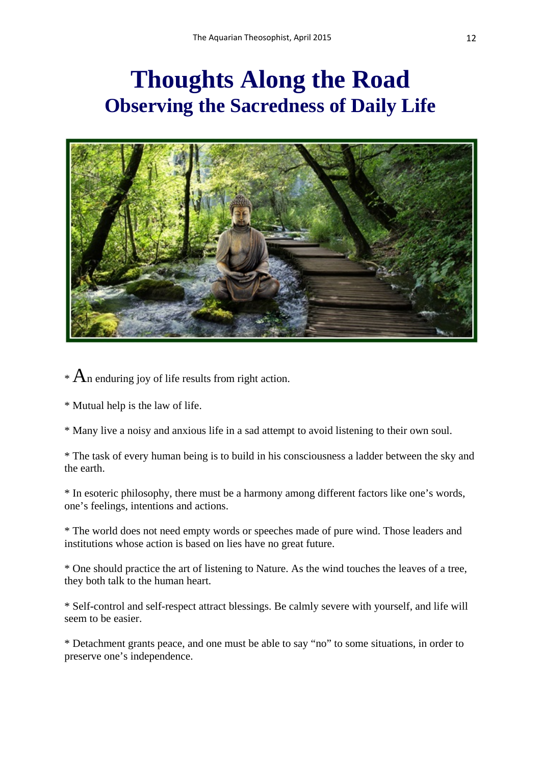## **Thoughts Along the Road Observing the Sacredness of Daily Life**



 $*$  An enduring joy of life results from right action.

\* Mutual help is the law of life.

\* Many live a noisy and anxious life in a sad attempt to avoid listening to their own soul.

\* The task of every human being is to build in his consciousness a ladder between the sky and the earth.

\* In esoteric philosophy, there must be a harmony among different factors like one's words, one's feelings, intentions and actions.

\* The world does not need empty words or speeches made of pure wind. Those leaders and institutions whose action is based on lies have no great future.

\* One should practice the art of listening to Nature. As the wind touches the leaves of a tree, they both talk to the human heart.

\* Self-control and self-respect attract blessings. Be calmly severe with yourself, and life will seem to be easier.

\* Detachment grants peace, and one must be able to say "no" to some situations, in order to preserve one's independence.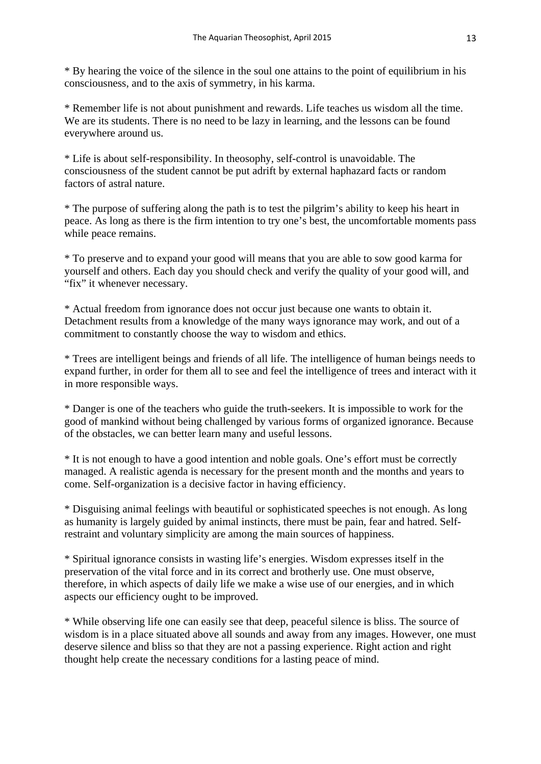\* By hearing the voice of the silence in the soul one attains to the point of equilibrium in his consciousness, and to the axis of symmetry, in his karma.

\* Remember life is not about punishment and rewards. Life teaches us wisdom all the time. We are its students. There is no need to be lazy in learning, and the lessons can be found everywhere around us.

\* Life is about self-responsibility. In theosophy, self-control is unavoidable. The consciousness of the student cannot be put adrift by external haphazard facts or random factors of astral nature.

\* The purpose of suffering along the path is to test the pilgrim's ability to keep his heart in peace. As long as there is the firm intention to try one's best, the uncomfortable moments pass while peace remains.

\* To preserve and to expand your good will means that you are able to sow good karma for yourself and others. Each day you should check and verify the quality of your good will, and "fix" it whenever necessary.

\* Actual freedom from ignorance does not occur just because one wants to obtain it. Detachment results from a knowledge of the many ways ignorance may work, and out of a commitment to constantly choose the way to wisdom and ethics.

\* Trees are intelligent beings and friends of all life. The intelligence of human beings needs to expand further, in order for them all to see and feel the intelligence of trees and interact with it in more responsible ways.

\* Danger is one of the teachers who guide the truth-seekers. It is impossible to work for the good of mankind without being challenged by various forms of organized ignorance. Because of the obstacles, we can better learn many and useful lessons.

\* It is not enough to have a good intention and noble goals. One's effort must be correctly managed. A realistic agenda is necessary for the present month and the months and years to come. Self-organization is a decisive factor in having efficiency.

\* Disguising animal feelings with beautiful or sophisticated speeches is not enough. As long as humanity is largely guided by animal instincts, there must be pain, fear and hatred. Selfrestraint and voluntary simplicity are among the main sources of happiness.

\* Spiritual ignorance consists in wasting life's energies. Wisdom expresses itself in the preservation of the vital force and in its correct and brotherly use. One must observe, therefore, in which aspects of daily life we make a wise use of our energies, and in which aspects our efficiency ought to be improved.

\* While observing life one can easily see that deep, peaceful silence is bliss. The source of wisdom is in a place situated above all sounds and away from any images. However, one must deserve silence and bliss so that they are not a passing experience. Right action and right thought help create the necessary conditions for a lasting peace of mind.